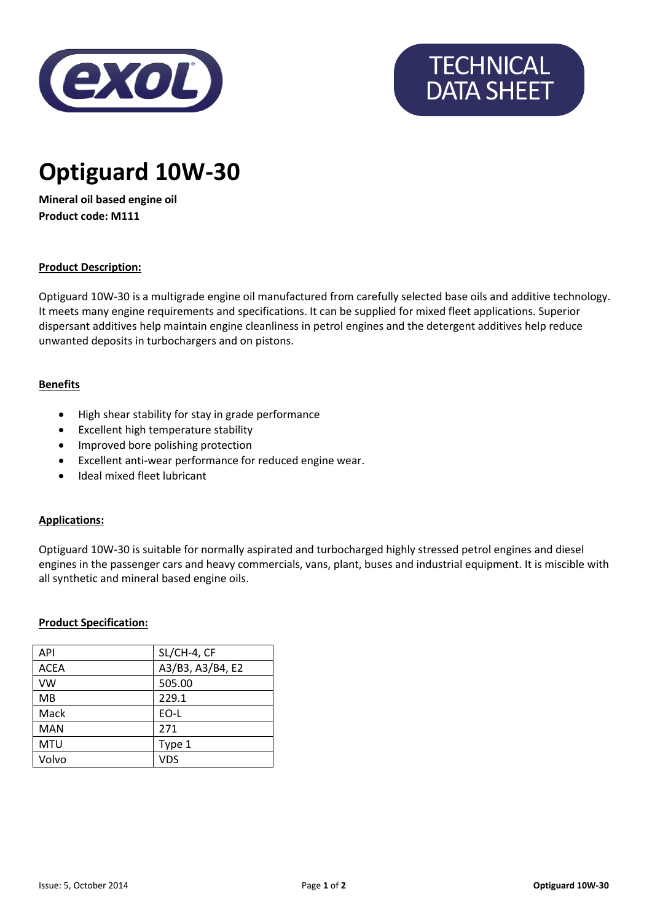

# **TECHNICAL** DATA SHEET

# **Optiguard 10W-30**

**Mineral oil based engine oil Product code: M111**

### **Product Description:**

Optiguard 10W-30 is a multigrade engine oil manufactured from carefully selected base oils and additive technology. It meets many engine requirements and specifications. It can be supplied for mixed fleet applications. Superior dispersant additives help maintain engine cleanliness in petrol engines and the detergent additives help reduce unwanted deposits in turbochargers and on pistons.

#### **Benefits**

- High shear stability for stay in grade performance
- Excellent high temperature stability
- Improved bore polishing protection
- Excellent anti-wear performance for reduced engine wear.
- Ideal mixed fleet lubricant

#### **Applications:**

Optiguard 10W-30 is suitable for normally aspirated and turbocharged highly stressed petrol engines and diesel engines in the passenger cars and heavy commercials, vans, plant, buses and industrial equipment. It is miscible with all synthetic and mineral based engine oils.

#### **Product Specification:**

| SL/CH-4, CF      |
|------------------|
| A3/B3, A3/B4, E2 |
| 505.00           |
| 229.1            |
| EO-L             |
| 271              |
| Type 1           |
| <b>VDS</b>       |
|                  |